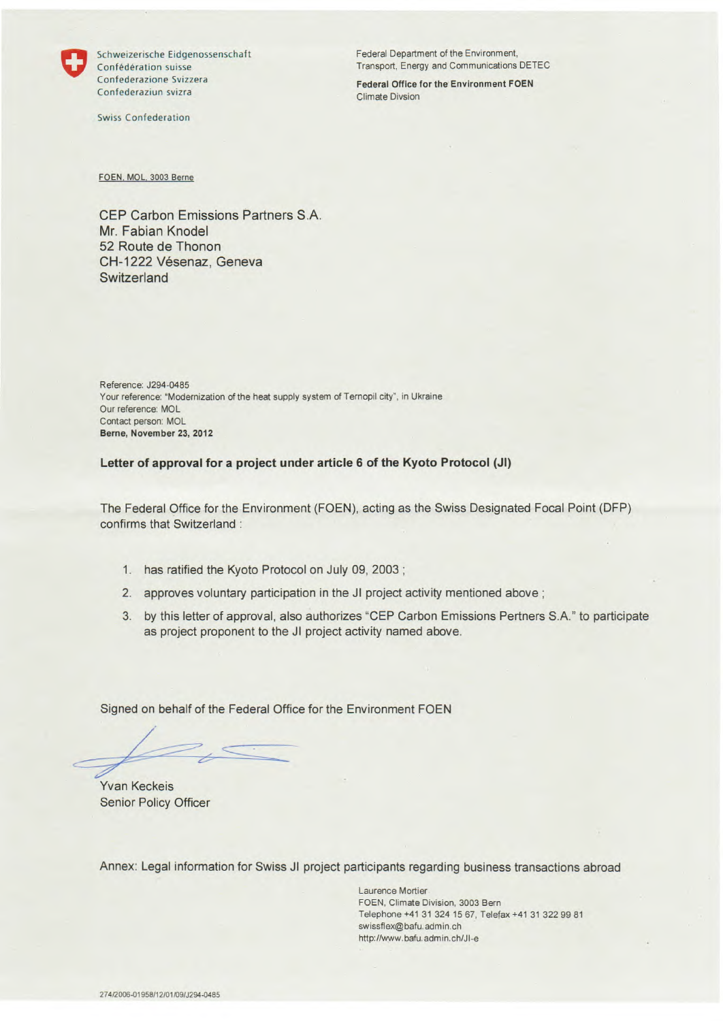

Confederazione Svizzera Federal Office for the Environment FOEN Confederaziun svizra Climate Divsion

Swiss Confederation

Schweizerische Eidgenossenschaft Federal Department of the Environment, Confédération suisse Transport, Energy and Communications DETEC

FOEN. MOL. 3003 Berne

CEP Carbon Emissions Partners S.A. Mr. Fabian Knodel 52 Route de Thonon CH-1222 Vésenaz, Geneva **Switzerland** 

Reference: J294-0485 Your reference: "Modernization of the heat supply system of Ternopil city", in Ukraine Our reference: MOL Contact person: MOL **Berne, November 23, 2012** 

**Letter of approval for a project under article 6 of the Kyoto Protocol (JI)** 

The Federal Office for the Environment (FOEN), acting as the Swiss Designated Focal Point (OFF) confirms that Switzerland :

- 1. has ratified the Kyoto Protocol on July 09, 2003;
- 2. approves voluntary participation in the JI project activity mentioned above;
- 3. by this letter of approval, also authorizes "OFF Carbon Emissions Pertners S.A."to participate as project proponent to the JI project activity named above.

Signed on behalf of the Federal Office for the Environment FOEN

Yvan Keckeis Senior Policy Officer

Annex: Legal information for Swiss JI project participants regarding business transactions abroad

Laurence Mortier FOEN, Climate Division, 3003 Bern Telephone +41 31 324 1567, Telefax +41 31 32299 81 swissflex@bafu. admin. ch http://www.bafu.admin.ch/Jl-e